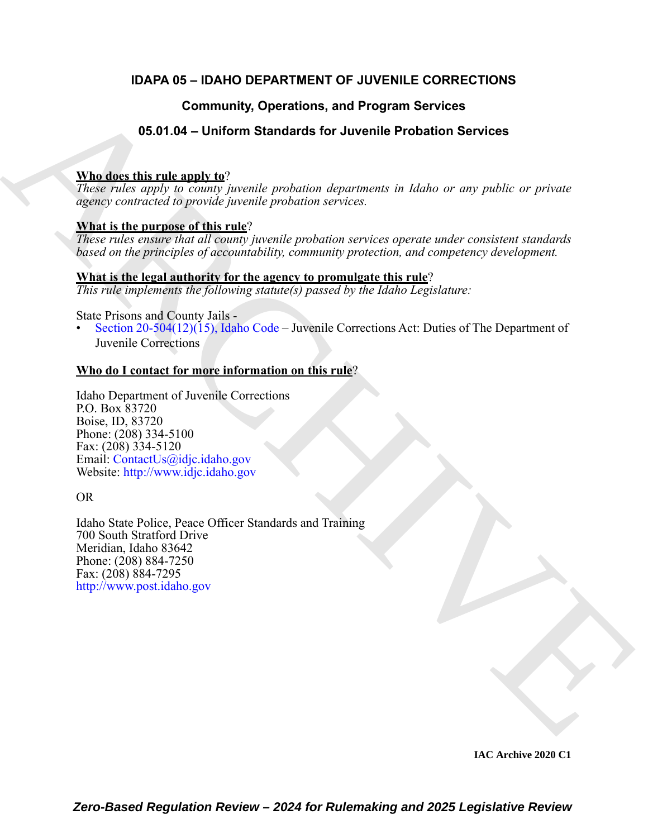# **IDAPA 05 – IDAHO DEPARTMENT OF JUVENILE CORRECTIONS**

# **Community, Operations, and Program Services**

# **05.01.04 – Uniform Standards for Juvenile Probation Services**

# **Who does this rule apply to**?

*These rules apply to county juvenile probation departments in Idaho or any public or private agency contracted to provide juvenile probation services.*

## **What is the purpose of this rule**?

*These rules ensure that all county juvenile probation services operate under consistent standards based on the principles of accountability, community protection, and competency development.*

### **What is the legal authority for the agency to promulgate this rule**?

*This rule implements the following statute(s) passed by the Idaho Legislature:*

State Prisons and County Jails -

• Section 20-504(12)(15), Idaho Code – Juvenile Corrections Act: Duties of The Department of Juvenile Corrections

## **Who do I contact for more information on this rule**?

Idaho Department of Juvenile Corrections P.O. Box 83720 Boise, ID, 83720 Phone: (208) 334-5100 Fax: (208) 334-5120 Email: ContactUs@idjc.idaho.gov Website: http://www.idjc.idaho.gov

OR

**Community, Operations, and Program Services**<br> **SEAD 0.4 – Uniform Standards for Juvenile Probation Services**<br>
These reduces and the properties consider probabilities are probable or ance public or private<br>
Report conside Idaho State Police, Peace Officer Standards and Training 700 South Stratford Drive Meridian, Idaho 83642 Phone: (208) 884-7250 Fax: (208) 884-7295 http://www.post.idaho.gov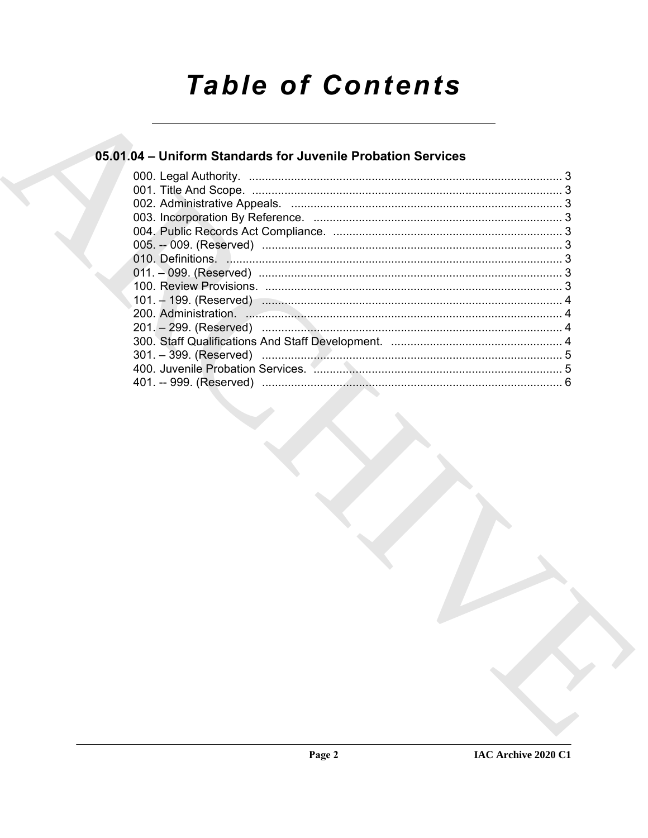# **Table of Contents**

# 05.01.04 - Uniform Standards for Juvenile Probation Services

| 400. Juvenile Probation Services. Annumalizam and the continuum state of 5 |
|----------------------------------------------------------------------------|
|                                                                            |
|                                                                            |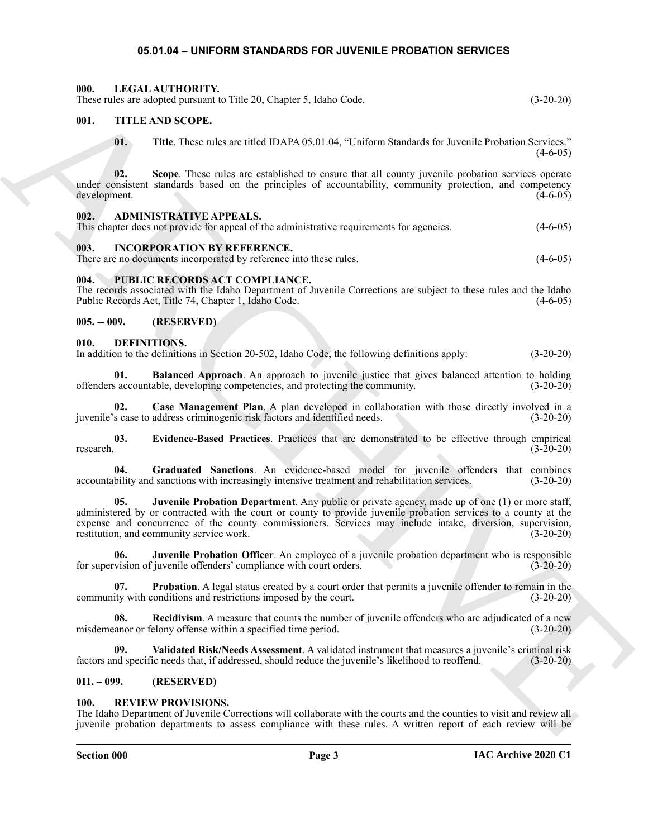#### <span id="page-2-23"></span><span id="page-2-21"></span><span id="page-2-20"></span><span id="page-2-19"></span><span id="page-2-14"></span><span id="page-2-13"></span><span id="page-2-12"></span><span id="page-2-10"></span><span id="page-2-1"></span><span id="page-2-0"></span>**05.01.04 – UNIFORM STANDARDS FOR JUVENILE PROBATION SERVICES**

<span id="page-2-22"></span><span id="page-2-18"></span><span id="page-2-17"></span><span id="page-2-16"></span><span id="page-2-15"></span><span id="page-2-11"></span><span id="page-2-9"></span><span id="page-2-8"></span><span id="page-2-7"></span><span id="page-2-6"></span><span id="page-2-5"></span><span id="page-2-4"></span><span id="page-2-3"></span><span id="page-2-2"></span>

| 000.          |              | LEGAL AUTHORITY.<br>These rules are adopted pursuant to Title 20, Chapter 5, Idaho Code.                                                                                                                                                                                                                                                                                    | $(3-20-20)$ |
|---------------|--------------|-----------------------------------------------------------------------------------------------------------------------------------------------------------------------------------------------------------------------------------------------------------------------------------------------------------------------------------------------------------------------------|-------------|
| 001.          |              | TITLE AND SCOPE.                                                                                                                                                                                                                                                                                                                                                            |             |
|               | 01.          | Title. These rules are titled IDAPA 05.01.04, "Uniform Standards for Juvenile Probation Services."                                                                                                                                                                                                                                                                          | $(4-6-05)$  |
| development.  | 02.          | Scope. These rules are established to ensure that all county juvenile probation services operate<br>under consistent standards based on the principles of accountability, community protection, and competency                                                                                                                                                              | $(4-6-05)$  |
| 002.          |              | <b>ADMINISTRATIVE APPEALS.</b><br>This chapter does not provide for appeal of the administrative requirements for agencies.                                                                                                                                                                                                                                                 | $(4-6-05)$  |
| 003.          |              | <b>INCORPORATION BY REFERENCE.</b><br>There are no documents incorporated by reference into these rules.                                                                                                                                                                                                                                                                    | $(4-6-05)$  |
| 004.          |              | PUBLIC RECORDS ACT COMPLIANCE.<br>The records associated with the Idaho Department of Juvenile Corrections are subject to these rules and the Idaho<br>Public Records Act, Title 74, Chapter 1, Idaho Code.                                                                                                                                                                 | $(4-6-05)$  |
| $005. - 009.$ |              | (RESERVED)                                                                                                                                                                                                                                                                                                                                                                  |             |
| 010.          | DEFINITIONS. | In addition to the definitions in Section 20-502, Idaho Code, the following definitions apply:                                                                                                                                                                                                                                                                              | $(3-20-20)$ |
|               | 01.          | <b>Balanced Approach.</b> An approach to juvenile justice that gives balanced attention to holding<br>offenders accountable, developing competencies, and protecting the community.                                                                                                                                                                                         | $(3-20-20)$ |
|               | 02.          | Case Management Plan. A plan developed in collaboration with those directly involved in a<br>juvenile's case to address criminogenic risk factors and identified needs.                                                                                                                                                                                                     | $(3-20-20)$ |
| research.     | 03.          | Evidence-Based Practices. Practices that are demonstrated to be effective through empirical                                                                                                                                                                                                                                                                                 | $(3-20-20)$ |
|               | 04.          | Graduated Sanctions. An evidence-based model for juvenile offenders that combines<br>accountability and sanctions with increasingly intensive treatment and rehabilitation services.                                                                                                                                                                                        | $(3-20-20)$ |
|               | 05.          | Juvenile Probation Department. Any public or private agency, made up of one (1) or more staff,<br>administered by or contracted with the court or county to provide juvenile probation services to a county at the<br>expense and concurrence of the county commissioners. Services may include intake, diversion, supervision,<br>restitution, and community service work. | $(3-20-20)$ |
|               | 06.          | Juvenile Probation Officer. An employee of a juvenile probation department who is responsible<br>for supervision of juvenile offenders' compliance with court orders.                                                                                                                                                                                                       | $(3-20-20)$ |
|               | 07.          | Probation. A legal status created by a court order that permits a juvenile offender to remain in the<br>community with conditions and restrictions imposed by the court.                                                                                                                                                                                                    | $(3-20-20)$ |
|               | 08.          | <b>Recidivism.</b> A measure that counts the number of juvenile offenders who are adjudicated of a new<br>misdemeanor or felony offense within a specified time period.                                                                                                                                                                                                     | $(3-20-20)$ |
|               | 09.          | Validated Risk/Needs Assessment. A validated instrument that measures a juvenile's criminal risk<br>factors and specific needs that, if addressed, should reduce the juvenile's likelihood to reoffend.                                                                                                                                                                     | $(3-20-20)$ |
| $011. - 099.$ |              | (RESERVED)                                                                                                                                                                                                                                                                                                                                                                  |             |
| <b>100.</b>   |              | <b>REVIEW PROVISIONS.</b><br>The Idaho Department of Juvenile Corrections will collaborate with the courts and the counties to visit and review all<br>juvenile probation departments to assess compliance with these rules. A written report of each review will be                                                                                                        |             |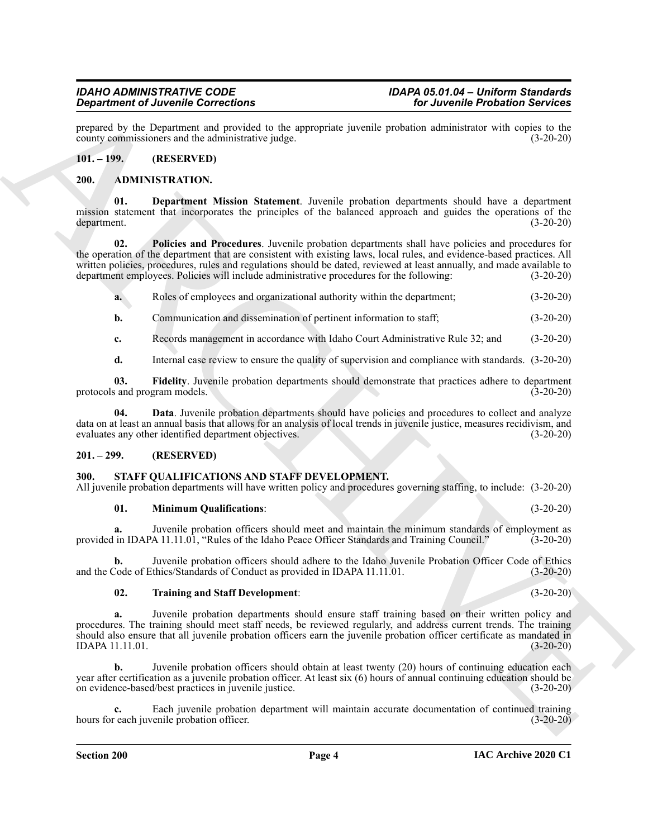prepared by the Department and provided to the appropriate juvenile probation administrator with copies to the county commissioners and the administrative judge. (3-20-20) county commissioners and the administrative judge.

#### <span id="page-3-0"></span>**101. – 199. (RESERVED)**

#### <span id="page-3-4"></span><span id="page-3-1"></span>**200. ADMINISTRATION.**

<span id="page-3-6"></span>**01. Department Mission Statement**. Juvenile probation departments should have a department mission statement that incorporates the principles of the balanced approach and guides the operations of the department. (3-20-20)

**Experimente of Liverantia Constraints of the proposition of the University Probability Section 2018<br>
2011 The University of the University of the University Section 2018 (1913)<br>
2011 The University of the University Sect 02. Policies and Procedures**. Juvenile probation departments shall have policies and procedures for the operation of the department that are consistent with existing laws, local rules, and evidence-based practices. All written policies, procedures, rules and regulations should be dated, reviewed at least annually, and made available to department employees. Policies will include administrative procedures for the following: (3-20-20)

<span id="page-3-8"></span>**a.** Roles of employees and organizational authority within the department; (3-20-20)

**b.** Communication and dissemination of pertinent information to staff; (3-20-20)

**c.** Records management in accordance with Idaho Court Administrative Rule 32; and (3-20-20)

<span id="page-3-7"></span><span id="page-3-5"></span>**d.** Internal case review to ensure the quality of supervision and compliance with standards. (3-20-20)

**03.** Fidelity. Juvenile probation departments should demonstrate that practices adhere to department s and program models. (3-20-20) protocols and program models.

**04. Data**. Juvenile probation departments should have policies and procedures to collect and analyze data on at least an annual basis that allows for an analysis of local trends in juvenile justice, measures recidivism, and evaluates any other identified department objectives. (3-20-20)

#### <span id="page-3-2"></span>**201. – 299. (RESERVED)**

#### <span id="page-3-9"></span><span id="page-3-3"></span>**300. STAFF QUALIFICATIONS AND STAFF DEVELOPMENT.**

All juvenile probation departments will have written policy and procedures governing staffing, to include: (3-20-20)

#### <span id="page-3-10"></span>**01. Minimum Qualifications**: (3-20-20)

**a.** Juvenile probation officers should meet and maintain the minimum standards of employment as in IDAPA 11.11.01, "Rules of the Idaho Peace Officer Standards and Training Council." (3-20-20) provided in IDAPA 11.11.01, "Rules of the Idaho Peace Officer Standards and Training Council."

**b.** Juvenile probation officers should adhere to the Idaho Juvenile Probation Officer Code of Ethics and the Code of Ethics/Standards of Conduct as provided in IDAPA 11.11.01. (3-20-20)

#### <span id="page-3-11"></span>**02. Training and Staff Development**: (3-20-20)

**a.** Juvenile probation departments should ensure staff training based on their written policy and procedures. The training should meet staff needs, be reviewed regularly, and address current trends. The training should also ensure that all juvenile probation officers earn the juvenile probation officer certificate as mandated in IDAPA 11.11.01.

**b.** Juvenile probation officers should obtain at least twenty (20) hours of continuing education each year after certification as a juvenile probation officer. At least six (6) hours of annual continuing education should be on evidence-based/best practices in juvenile justice. (3-20-20)

**c.** Each juvenile probation department will maintain accurate documentation of continued training hours for each juvenile probation officer. (3-20-20)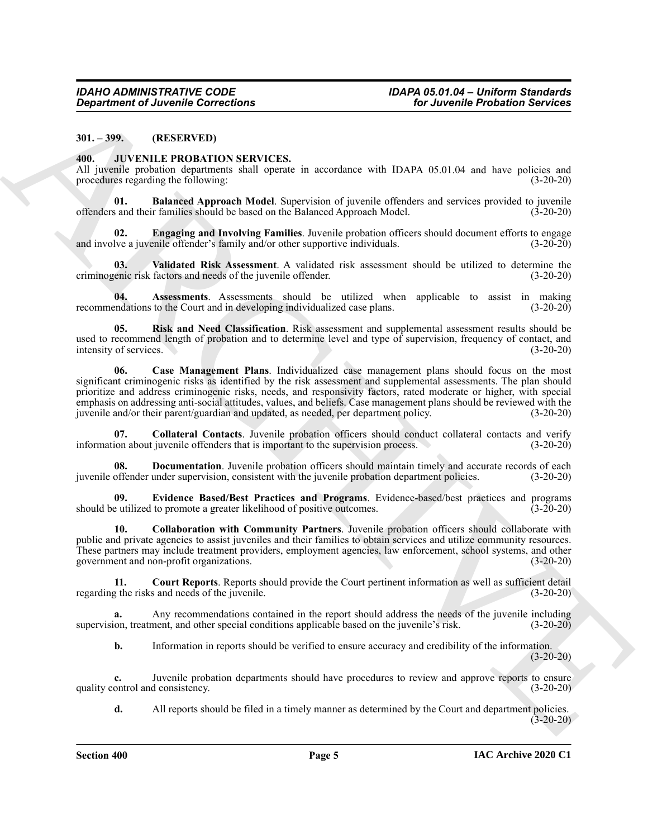<span id="page-4-0"></span>**301. – 399. (RESERVED)**

#### <span id="page-4-2"></span><span id="page-4-1"></span>**400. JUVENILE PROBATION SERVICES.**

All juvenile probation departments shall operate in accordance with IDAPA 05.01.04 and have policies and procedures regarding the following: (3-20-20)

<span id="page-4-4"></span>**01. Balanced Approach Model**. Supervision of juvenile offenders and services provided to juvenile offenders and their families should be based on the Balanced Approach Model. (3-20-20)

<span id="page-4-10"></span>**02. Engaging and Involving Families**. Juvenile probation officers should document efforts to engage lve a juvenile offender's family and/or other supportive individuals. (3-20-20) and involve a juvenile offender's family and/or other supportive individuals.

<span id="page-4-13"></span>**03. Validated Risk Assessment**. A validated risk assessment should be utilized to determine the criminogenic risk factors and needs of the juvenile offender. (3-20-20)

<span id="page-4-3"></span>**04. Assessments**. Assessments should be utilized when applicable to assist in making recommendations to the Court and in developing individualized case plans. (3-20-20)

<span id="page-4-12"></span><span id="page-4-5"></span>**05. Risk and Need Classification**. Risk assessment and supplemental assessment results should be used to recommend length of probation and to determine level and type of supervision, frequency of contact, and<br>(3-20-20)<br>(3-20-20) intensity of services.

*Great from the Christian Corrections*<br> **ARCHIVE PROBATION SERVICES.**<br>
ARCHIVE PROBATION SERVICES:<br>
ARCHIVE PROBATION SERVICES:<br>
ARCHIVE PROBATION SERVICES:<br>
ARCHIVE PROBATION SERVICES:<br>
ARCHIVE PROBATION SERVICES:<br>
ARC **06. Case Management Plans**. Individualized case management plans should focus on the most significant criminogenic risks as identified by the risk assessment and supplemental assessments. The plan should prioritize and address criminogenic risks, needs, and responsivity factors, rated moderate or higher, with special emphasis on addressing anti-social attitudes, values, and beliefs. Case management plans should be reviewed with the juvenile and/or their parent/guardian and updated, as needed, per department policy. (3-20-20)

<span id="page-4-7"></span>**07.** Collateral Contacts. Juvenile probation officers should conduct collateral contacts and verify ion about juvenile offenders that is important to the supervision process. (3-20-20) information about juvenile offenders that is important to the supervision process.

<span id="page-4-9"></span>**08.** Documentation. Juvenile probation officers should maintain timely and accurate records of each juvenile offender under supervision, consistent with the juvenile probation department policies. (3-20-20)

<span id="page-4-11"></span>**09. Evidence Based/Best Practices and Programs**. Evidence-based/best practices and programs should be utilized to promote a greater likelihood of positive outcomes.

<span id="page-4-6"></span>**10. Collaboration with Community Partners**. Juvenile probation officers should collaborate with public and private agencies to assist juveniles and their families to obtain services and utilize community resources. These partners may include treatment providers, employment agencies, law enforcement, school systems, and other government and non-profit organizations. (3-20-20)

<span id="page-4-8"></span>**11. Court Reports**. Reports should provide the Court pertinent information as well as sufficient detail regarding the risks and needs of the juvenile. (3-20-20)

**a.** Any recommendations contained in the report should address the needs of the juvenile including supervision, treatment, and other special conditions applicable based on the juvenile's risk. (3-20-20)

**b.** Information in reports should be verified to ensure accuracy and credibility of the information. (3-20-20)

**c.** Juvenile probation departments should have procedures to review and approve reports to ensure ontrol and consistency. (3-20-20) quality control and consistency.

**d.** All reports should be filed in a timely manner as determined by the Court and department policies. (3-20-20)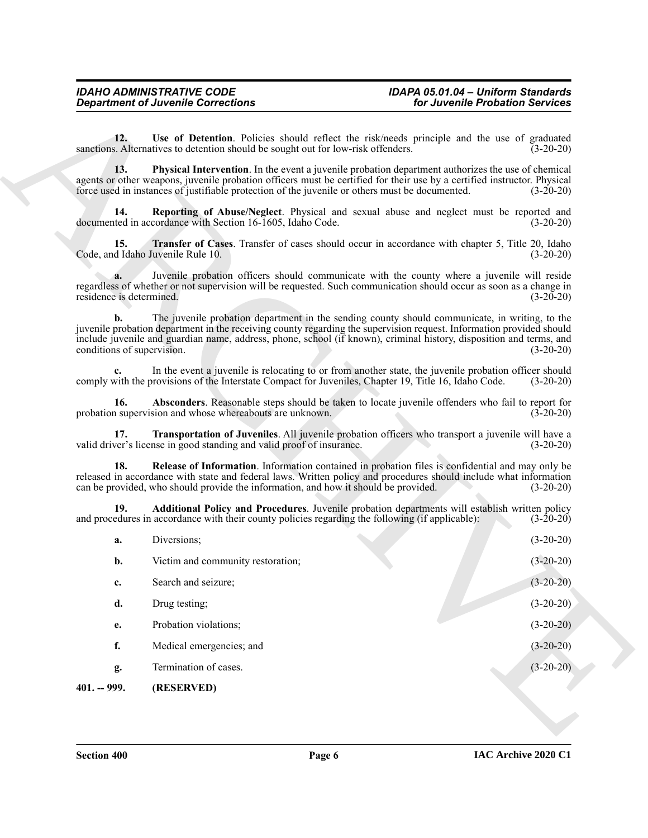#### <span id="page-5-8"></span><span id="page-5-7"></span><span id="page-5-6"></span><span id="page-5-5"></span><span id="page-5-4"></span><span id="page-5-3"></span><span id="page-5-2"></span><span id="page-5-1"></span>*IDAHO ADMINISTRATIVE CODE IDAPA 05.01.04 – Uniform Standards Department of Juvenile Corrections for Juvenile Probation Services*

<span id="page-5-0"></span>

|                                  | <b>Department of Juvenile Corrections</b>                                                                                                                                                                                                                                                                                                     | for Juvenile Probation Services |
|----------------------------------|-----------------------------------------------------------------------------------------------------------------------------------------------------------------------------------------------------------------------------------------------------------------------------------------------------------------------------------------------|---------------------------------|
| 12.                              | Use of Detention. Policies should reflect the risk/needs principle and the use of graduated<br>sanctions. Alternatives to detention should be sought out for low-risk offenders.                                                                                                                                                              | $(3-20-20)$                     |
| 13.                              | <b>Physical Intervention</b> . In the event a juvenile probation department authorizes the use of chemical<br>agents or other weapons, juvenile probation officers must be certified for their use by a certified instructor. Physical<br>force used in instances of justifiable protection of the juvenile or others must be documented.     | $(3-20-20)$                     |
| 14.                              | Reporting of Abuse/Neglect. Physical and sexual abuse and neglect must be reported and<br>documented in accordance with Section 16-1605, Idaho Code.                                                                                                                                                                                          | $(3-20-20)$                     |
| 15.                              | Transfer of Cases. Transfer of cases should occur in accordance with chapter 5, Title 20, Idaho<br>Code, and Idaho Juvenile Rule 10.                                                                                                                                                                                                          | $(3-20-20)$                     |
| a.<br>residence is determined.   | Juvenile probation officers should communicate with the county where a juvenile will reside<br>regardless of whether or not supervision will be requested. Such communication should occur as soon as a change in                                                                                                                             | $(3-20-20)$                     |
| b.<br>conditions of supervision. | The juvenile probation department in the sending county should communicate, in writing, to the<br>juvenile probation department in the receiving county regarding the supervision request. Information provided should<br>include juvenile and guardian name, address, phone, school (if known), criminal history, disposition and terms, and | $(3-20-20)$                     |
|                                  | In the event a juvenile is relocating to or from another state, the juvenile probation officer should<br>comply with the provisions of the Interstate Compact for Juveniles, Chapter 19, Title 16, Idaho Code.                                                                                                                                | $(3-20-20)$                     |
| 16.                              | Absconders. Reasonable steps should be taken to locate juvenile offenders who fail to report for<br>probation supervision and whose whereabouts are unknown.                                                                                                                                                                                  | $(3-20-20)$                     |
| 17.                              | Transportation of Juveniles. All juvenile probation officers who transport a juvenile will have a<br>valid driver's license in good standing and valid proof of insurance.                                                                                                                                                                    | $(3-20-20)$                     |
| 18.                              | Release of Information. Information contained in probation files is confidential and may only be<br>released in accordance with state and federal laws. Written policy and procedures should include what information<br>can be provided, who should provide the information, and how it should be provided.                                  | $(3-20-20)$                     |
| 19.                              | Additional Policy and Procedures. Juvenile probation departments will establish written policy<br>and procedures in accordance with their county policies regarding the following (if applicable):                                                                                                                                            | $(3-20-20)$                     |
| a.                               | Diversions;                                                                                                                                                                                                                                                                                                                                   | $(3-20-20)$                     |
| b.                               | Victim and community restoration;                                                                                                                                                                                                                                                                                                             | $(3-20-20)$                     |
| c.                               | Search and seizure;                                                                                                                                                                                                                                                                                                                           | $(3-20-20)$                     |
| d.                               | Drug testing;                                                                                                                                                                                                                                                                                                                                 | $(3-20-20)$                     |
| e.                               | Probation violations;                                                                                                                                                                                                                                                                                                                         | $(3-20-20)$                     |
| f.                               | Medical emergencies; and                                                                                                                                                                                                                                                                                                                      | $(3-20-20)$                     |
| g.                               | Termination of cases.                                                                                                                                                                                                                                                                                                                         | $(3-20-20)$                     |
| $401. - 999.$                    | (RESERVED)                                                                                                                                                                                                                                                                                                                                    |                                 |